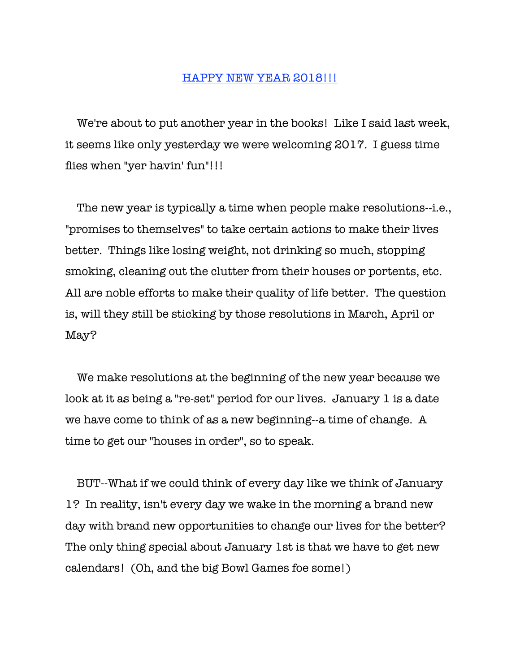## HAPPY NEW YEAR 2018!!!

 We're about to put another year in the books! Like I said last week, it seems like only yesterday we were welcoming 2017. I guess time flies when "yer havin' fun"!!!

 The new year is typically a time when people make resolutions--i.e., "promises to themselves" to take certain actions to make their lives better. Things like losing weight, not drinking so much, stopping smoking, cleaning out the clutter from their houses or portents, etc. All are noble efforts to make their quality of life better. The question is, will they still be sticking by those resolutions in March, April or May?

 We make resolutions at the beginning of the new year because we look at it as being a "re-set" period for our lives. January 1 is a date we have come to think of as a new beginning--a time of change. A time to get our "houses in order", so to speak.

 BUT--What if we could think of every day like we think of January 1? In reality, isn't every day we wake in the morning a brand new day with brand new opportunities to change our lives for the better? The only thing special about January 1st is that we have to get new calendars! (Oh, and the big Bowl Games foe some!)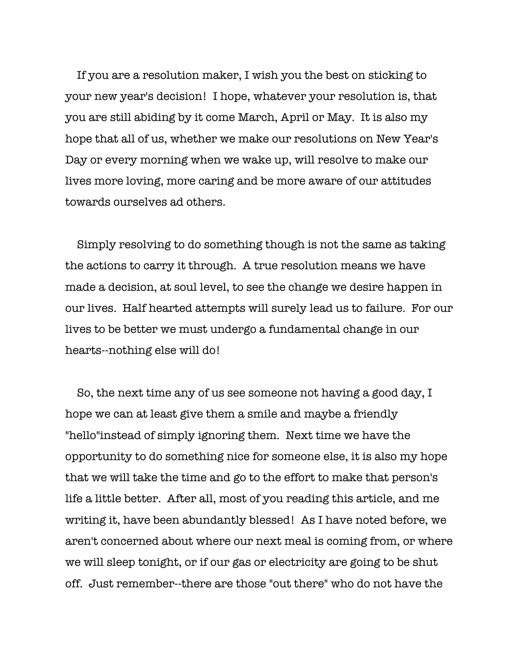If you are a resolution maker, I wish you the best on sticking to your new year's decision! I hope, whatever your resolution is, that you are still abiding by it come March, April or May. It is also my hope that all of us, whether we make our resolutions on New Year's Day or every morning when we wake up, will resolve to make our lives more loving, more caring and be more aware of our attitudes towards ourselves ad others.

 Simply resolving to do something though is not the same as taking the actions to carry it through. A true resolution means we have made a decision, at soul level, to see the change we desire happen in our lives. Half hearted attempts will surely lead us to failure. For our lives to be better we must undergo a fundamental change in our hearts--nothing else will do!

 So, the next time any of us see someone not having a good day, I hope we can at least give them a smile and maybe a friendly "hello"instead of simply ignoring them. Next time we have the opportunity to do something nice for someone else, it is also my hope that we will take the time and go to the effort to make that person's life a little better. After all, most of you reading this article, and me writing it, have been abundantly blessed! As I have noted before, we aren't concerned about where our next meal is coming from, or where we will sleep tonight, or if our gas or electricity are going to be shut off. Just remember--there are those "out there" who do not have the